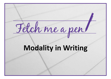# Fetch me a pen

# **Modality in Writing**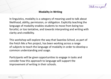

#### **Modality in Writing**

In linguistics, modality is a category of meaning used to talk about likelihood, ability, permission, or obligation. Explicitly teaching the language of modality enables students to move from being too forceful, or too tentative, and towards interpreting and writing with clarity and credibility.

This workshop will explore the way that Swanlea School, as part of the Fetch Me a Pen project, has been working across a range of subjects to teach the language of modality in order to develop a common understanding and usage.

Participants will be given opportunities to engage in tasks and consider how this approach to language will support the improvement of writing in their schools.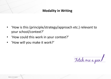# **Modality in Writing**

- 'How is this (principle/strategy/approach etc.) relevant to your school/context?'
- 'How could this work in your context?'
- 'How will you make it work?'

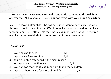

#### **1. Here is a short case study for health and Social care. Read through it and answer the T/F questions. Discuss your answers with your group or partner.**

Jayne is a looked after child. She has been in residential care since she was three years old. Janyne finds it difficult to make friends as she doesn't always feel confident, She often feels that she is less important that other children who live at home with their parents" extract from a case study)

#### **True or false**

- 1. Jayne has no friends T/F
- 2. Jayne never feels confident T/F
- 3. Being a 'looked after child is the main reason for Jayne lack of confidence T/F
- 4. Jayne knows that she is less important than other children T/F
- 5. Jayne has been I care for most of her life T/F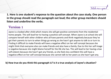

**1. Here is one student's response to the question about the case study. One person in the group should read the paragraph out loud; the other group members should listen and underline the verbs.**

## **Version 1**

Jayne is a looked after child which means she will get positive comments from the residential home people. This will lead her to having a positive self concept. When Jayne is at school she will compare herself with other children who all have parents and think negatively because they've got their parents to turn to when things go wrong as she hasn't got anyone to talk to or turn to. Finding it difficult to make friends will have a negative effect on her self concept because she might think that everyone else can make friends and also have a family. Due to this her self image is negative because she might blame herself for the life she has. This will lead to her having a low self esteem because she hasn't got any friends, as she feels less confident this will have a negative effect on her self concept because she cannot talk to her peers as she hasn't got any.

#### **b) How true do you think this paragraph is? Is it a true analysis of Jayne's situation?**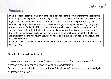

## **Version 2 Version 2**

Jayne is a looked after child which means she **might** get positive comments from the residential home people. This **might** lead her to having a positive self concept. When Jayne is at school she **might compare** herself with other children who all have parents and **might think** negatively because they've got their parents to turn to when things go wrong as she hasn't got anyone to talk to or turn to. Finding it difficult to make friends **might have** a negative effect on her self concept because she **might think** that everyone else can make friends and also have a family. Due to this her self image **might be** negative because she **might blame** herself for the life she has. This **might lead** to her having a low self esteem because she hasn't got any friends, as she feels less confident

this **might have** a negative effect on her self concept because she cannot talk to her peers as she hasn't got any.

#### **Now look at versions 2 and 3:**

d)How have the verbs changed? What is the effect of all these changes? e)What is the difference between version 2 and version 3? f)Which do you think is more convincing? Is either of these an accurate analysis of Jayne's situation?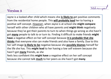## **Version 3**

Fetch me a

Jayne is a looked after child which means she **is likely to** get positive comments from the residential home people. This **will probably lead** her to having a positive self concept. *However*, when Jayne is at school she **might compare** herself with other children who all have parents and **might think** negatively because they've got their parents to turn to when things go wrong as she hasn't got **many** people to talk to or turn to. Finding it difficult to make friends **might have** a negative effect on her self concept because **it is probable that she thinks** that everyone else can make friends and also have a family. Due to this her self image **is likely to be** negative because she **possibly blames** herself for the life she has. This **might lead** to her having a low self esteem because she hasn't got **many** friends, as she

feels less confident this **might have** a negative effect on her self concept because she cannot talk **much** to her peers as she hasn't got **many**.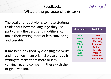# Feedback:



What is the purpose of this task?

The goal of this activity is to make students think about how the language they use ( particularly the verbs and modifiers) can make their writing more of less convincing and credible.

It has been designed by changing the verbs and modifiers in an original piece of pupils writing to make them more or less convincing, and comparing these with the original version.

| <b>Modal Verbs</b> | <b>Modifiers</b>   |
|--------------------|--------------------|
| Can                | <b>Clearly</b>     |
| Could              | <b>Essentially</b> |
| <b>May</b>         | <b>Effectively</b> |
| <b>Might</b>       | In a sense         |
| <b>Shall</b>       | <b>Perhaps</b>     |
| <b>Should</b>      | <b>Possibly</b>    |
| <b>Will</b>        | <b>Probably</b>    |
| <b>Would</b>       | <b>Somewhat</b>    |
|                    | <b>Undoubtedly</b> |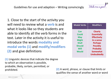1. Close to the start of the activity you will need to review what a **verb** is and what it looks like so they students are able to identify all the verb forms in the text. Later in the activity it is useful to introduce the words **modality and modal verbs (1)** and **modify/modifiers (2)** and give definitions

**(1)** Linguistic devices that indicate the degree to which an observation is possible, probable, likely, certain, permitted, or prohibited. **(2)** A word, phrase, or clause that limits or

qualifies the sense of another word or word

| <b>Modal Verbs</b> | <b>Modifiers</b>   |
|--------------------|--------------------|
| Can                | <b>Clearly</b>     |
| Could              | <b>Essentially</b> |
| <b>May</b>         | <b>Effectively</b> |
| <b>Might</b>       | In a sense         |
| <b>Shall</b>       | <b>Perhaps</b>     |
| <b>Should</b>      | <b>Possibly</b>    |
| Will               | <b>Probably</b>    |
| <b>Would</b>       | <b>Somewhat</b>    |
|                    | <b>Undoubtedly</b> |

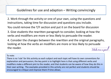#### Guidelines for use and adaption – Writing convincingly

2. Work through the activity or one of your own, using the questions and instructions, taking time for discussion and questions you include.

You could remove the T/F section and put it on the board for discussion

3. Give students the rewritten paragraph to consider, looking at how the verbs and modifiers are more or less likely to persuade the reader.

4. Consider the changes between the rewritten and the original paragraphs, looking at how the verbs an modifiers are more or less likely to persuade the reader. Fetch me a

#### To note:

There is no 'rule' for this activity as each subject and each topic will have its own conventions for explanation and persuasion; the key point is to highlight here is that using different verbs and modifiers make a different pint to the reader, and that students can be aware of how they do this in their own writing. The examples provided in this activity are not perfect and students should be encouraged to critique and improve them if time allows.